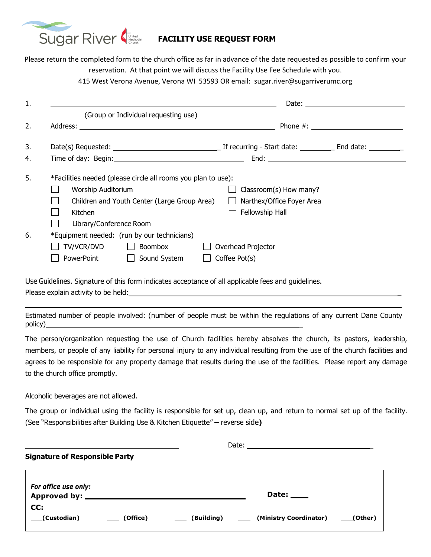

## **FACILITY USE REQUEST FORM**

Please return the completed form to the church office as far in advance of the date requested as possible to confirm your reservation. At that point we will discuss the Facility Use Fee Schedule with you. 415 West Verona Avenue, Verona WI 53593 OR email: sugar.river@sugarriverumc.org

| 1. |                                                                                                                                                                                                                           |  |  |  |  |  |
|----|---------------------------------------------------------------------------------------------------------------------------------------------------------------------------------------------------------------------------|--|--|--|--|--|
|    | (Group or Individual requesting use)                                                                                                                                                                                      |  |  |  |  |  |
| 2. |                                                                                                                                                                                                                           |  |  |  |  |  |
| 3. |                                                                                                                                                                                                                           |  |  |  |  |  |
| 4. |                                                                                                                                                                                                                           |  |  |  |  |  |
| 5. | *Facilities needed (please circle all rooms you plan to use):<br>Worship Auditorium<br>Children and Youth Center (Large Group Area)<br>Narthex/Office Foyer Area<br>Fellowship Hall<br>Kitchen<br>Library/Conference Room |  |  |  |  |  |
| 6. | *Equipment needed: (run by our technicians)<br>TV/VCR/DVD<br>Boombox<br>Overhead Projector<br>$\Box$ Sound System<br>Coffee Pot(s)<br>PowerPoint                                                                          |  |  |  |  |  |

Use Guidelines. Signature of this form indicates acceptance of all applicable fees and guidelines.

Please explain activity to be held:

Estimated number of people involved: (number of people must be within the regulations of any current Dane County policy)\_

The person/organization requesting the use of Church facilities hereby absolves the church, its pastors, leadership, members, or people of any liability for personal injury to any individual resulting from the use of the church facilities and agrees to be responsible for any property damage that results during the use of the facilities. Please report any damage to the church office promptly.

Alcoholic beverages are not allowed.

The group or individual using the facility is responsible for set up, clean up, and return to normal set up of the facility. (See "Responsibilities after Building Use & Kitchen Etiquette" **–** reverse side**)**

| <b>Signature of Responsible Party</b> |          |            |                        |         |  |  |  |  |
|---------------------------------------|----------|------------|------------------------|---------|--|--|--|--|
| For office use only:                  |          |            | Date: $\_\_$           |         |  |  |  |  |
| CC:<br>(Custodian)                    | (Office) | (Building) | (Ministry Coordinator) | (Other) |  |  |  |  |